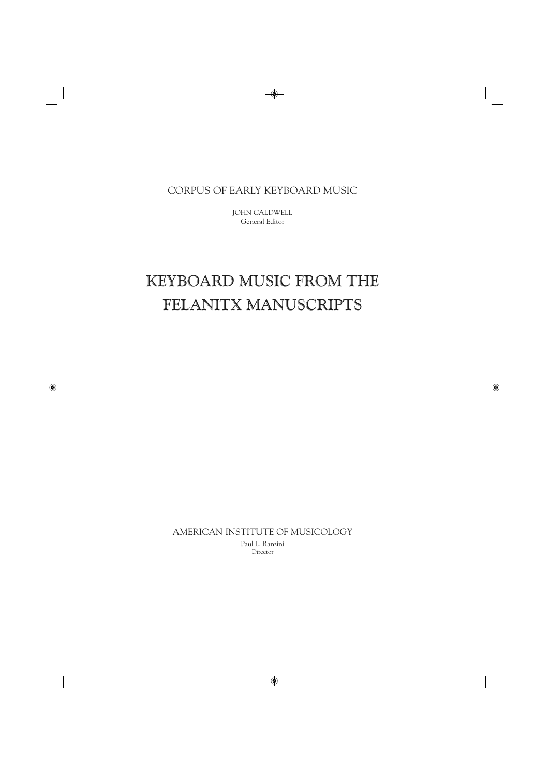CORPUS OF EARLY KEYBOARD MUSIC

JOHN CALDWELL General Editor

# KEYBOARD MUSIC FROM THE FELANITX MANUSCRIPTS

AMERICAN INSTITUTE OF MUSICOLOGY Paul L. Ranzini Director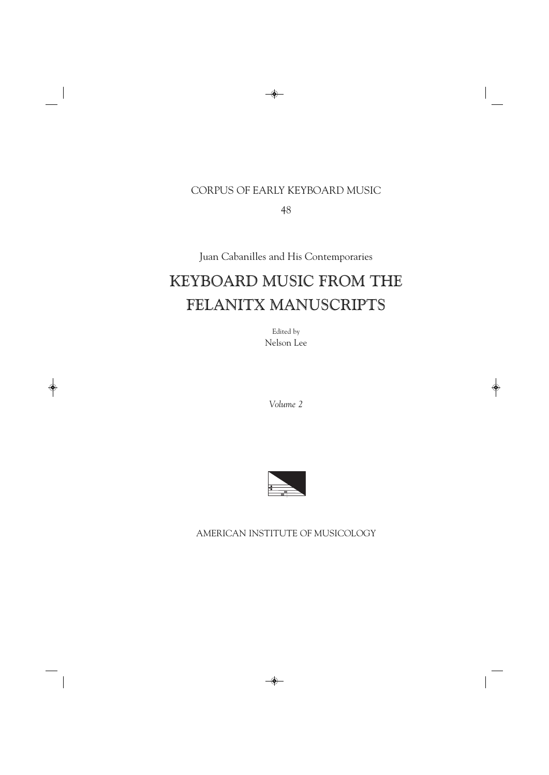### CORPUS OF EARLY KEYBOARD MUSIC

48

Juan Cabanilles and His Contemporaries

## KEYBOARD MUSIC FROM THE FELANITX MANUSCRIPTS

Edited by Nelson Lee

*Volume 2*



AMERICAN INSTITUTE OF MUSICOLOGY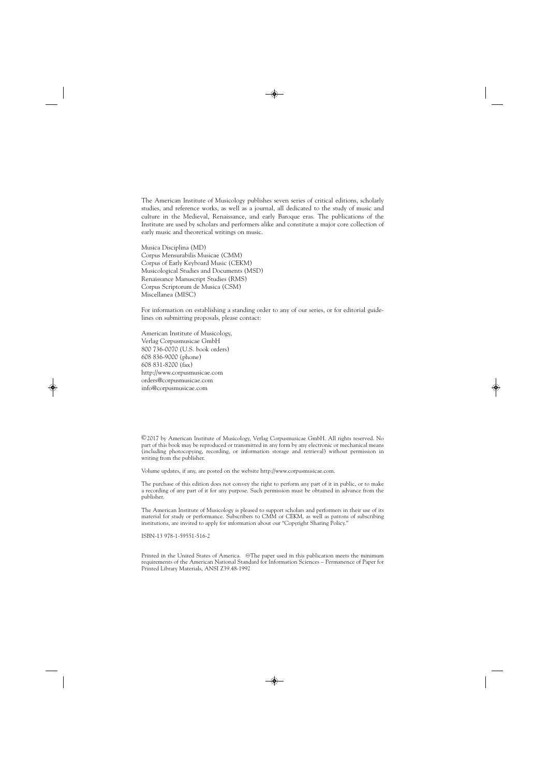The American Institute of Musicology publishes seven series of critical editions, scholarly studies, and reference works, as well as a journal, all dedicated to the study of music and culture in the Medieval, Renaissance, and early Baroque eras. The publications of the Institute are used by scholars and performers alike and constitute a major core collection of early music and theoretical writings on music.

Musica Disciplina (MD) Corpus Mensurabilis Musicae (CMM) Corpus of Early Keyboard Music (CEKM) Musicological Studies and Documents (MSD) Renaissance Manuscript Studies (RMS) Corpus Scriptorum de Musica (CSM) Miscellanea (MISC)

For information on establishing a standing order to any of our series, or for editorial guidelines on submitting proposals, please contact:

American Institute of Musicology, Verlag Corpusmusicae GmbH 800 736-0070 (U.S. book orders) 608 836-9000 (phone) 608 831-8200 (fax) http://www.corpusmusicae.com orders@corpusmusicae.com info@corpusmusicae.com

©2017 by American Institute of Musicology, Verlag Corpusmusicae GmbH. All rights reserved. No part of this book may be reproduced or transmitted in any form by any electronic or mechanical means (including photocopying, recording, or information storage and retrieval) without permission in writing from the publisher.

Volume updates, if any, are posted on the website http://www.corpusmusicae.com.

The purchase of this edition does not convey the right to perform any part of it in public, or to make a recording of any part of it for any purpose. Such permission must be obtained in advance from the publisher.

The American Institute of Musicology is pleased to support scholars and performers in their use of its material for study or performance. Subscribers to CMM or CEKM, as well as patrons of subscribing institutions, are invited to apply for information about our "Copyright Sharing Policy."

ISBN-13 978-1-59551-516-2

Printed in the United States of America. @The paper used in this publication meets the minimum requirements of the American National Standard for Information Sciences – Permanence of Paper for Printed Library Materials, ANSI Z39.48-1992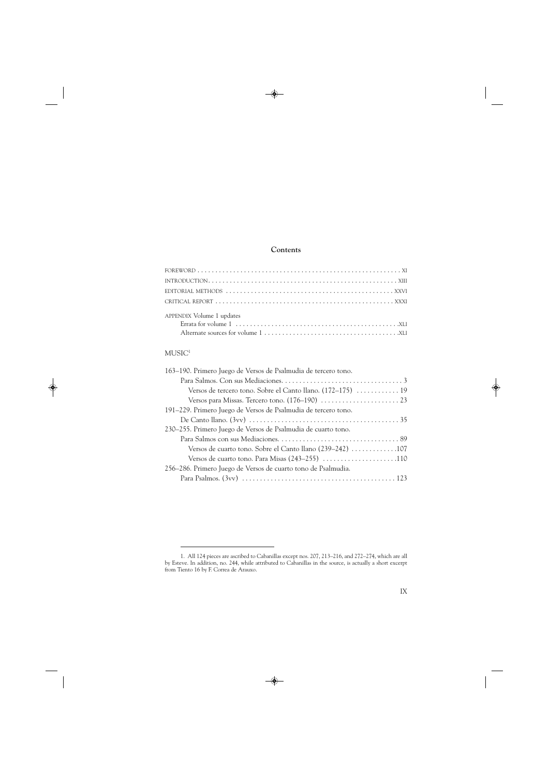#### **Contents**

| APPENDIX Volume 1 updates |
|---------------------------|

### $MUSIC<sup>1</sup>$

<sup>1.</sup> All 124 pieces are ascribed to Cabanillas except nos. 207, 213–216, and 272–274, which are all by Esteve. In addition, no. 244, while attributed to Cabanillas in the source, is actually a short excerpt from Tiento 16 by F. Correa de Arauxo.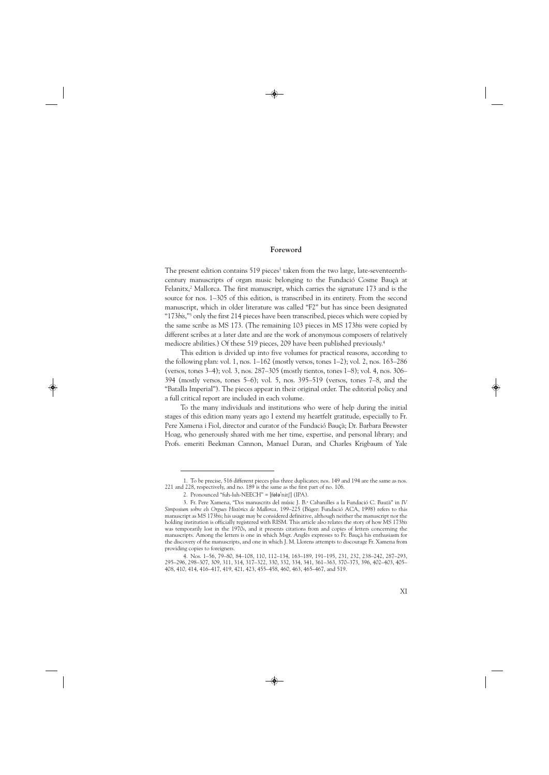#### **Foreword**

The present edition contains  $519$  pieces<sup>1</sup> taken from the two large, late-seventeenthcentury manuscripts of organ music belonging to the Fundació Cosme Bauçà at Felanitx,<sup>2</sup> Mallorca. The first manuscript, which carries the signature 173 and is the source for nos. 1–305 of this edition, is transcribed in its entirety. From the second manuscript, which in older literature was called "F2" but has since been designated "173*bis*,"3 only the first 214 pieces have been transcribed, pieces which were copied by the same scribe as MS 173. (The remaining 103 pieces in MS 173*bis* were copied by different scribes at a later date and are the work of anonymous composers of relatively mediocre abilities.) Of these 519 pieces, 209 have been published previously.<sup>4</sup>

This edition is divided up into five volumes for practical reasons, according to the following plan: vol. 1, nos. 1–162 (mostly versos, tones 1–2); vol. 2, nos. 163–286 (versos, tones 3–4); vol. 3, nos. 287–305 (mostly tientos, tones 1–8); vol. 4, nos. 306– 394 (mostly versos, tones 5–6); vol. 5, nos. 395–519 (versos, tones 7–8, and the "Batalla Imperial"). The pieces appear in their original order. The editorial policy and a full critical report are included in each volume.

To the many individuals and institutions who were of help during the initial stages of this edition many years ago I extend my heartfelt gratitude, especially to Fr. Pere Xamena i Fiol, director and curator of the Fundació Bauçà; Dr. Barbara Brewster Hoag, who generously shared with me her time, expertise, and personal library; and Profs. emeriti Beekman Cannon, Manuel Duran, and Charles Krigbaum of Yale

<sup>1.</sup> To be precise, 516 different pieces plus three duplicates; nos. 149 and 194 are the same as nos. 221 and 228, respectively, and no. 189 is the same as the first part of no. 106.

<sup>2.</sup> Pronounced "fuh-luh-NEECH" =  $[$ f $\theta$ ł $\theta$ <sup>'</sup>nit $[$  $]$  (IPA).

<sup>3.</sup> Fr. Pere Xamena, "Dos manuscrits del músic J. B.a Cabanilles a la Fundació C. Bauzà" in *IV Simposium sobre els Orgues Històrics de Mallorca,* 199–225 (Búger: Fundació ACA, 1998) refers to this manuscript as MS 173*bis*; his usage may be considered definitive, although neither the manuscript nor the holding institution is officially registered with RISM. This article also relates the story of how MS 173*bis* was temporarily lost in the 1970s, and it presents citations from and copies of letters concerning the manuscripts. Among the letters is one in which Msgr. Anglès expresses to Fr. Bauçà his enthusiasm for the discovery of the manuscripts, and one in which J. M. Llorens attempts to discourage Fr. Xamena from providing copies to foreigners.

<sup>4.</sup> Nos. 1–56, 79–80, 84–108, 110, 112–134, 163–189, 191–195, 231, 232, 238–242, 287–293, 295–296, 298–307, 309, 311, 314, 317–322, 330, 332, 334, 341, 361–363, 370–373, 396, 402–403, 405– 408, 410, 414, 416–417, 419, 421, 423, 455–458, 460, 463, 465–467, and 519.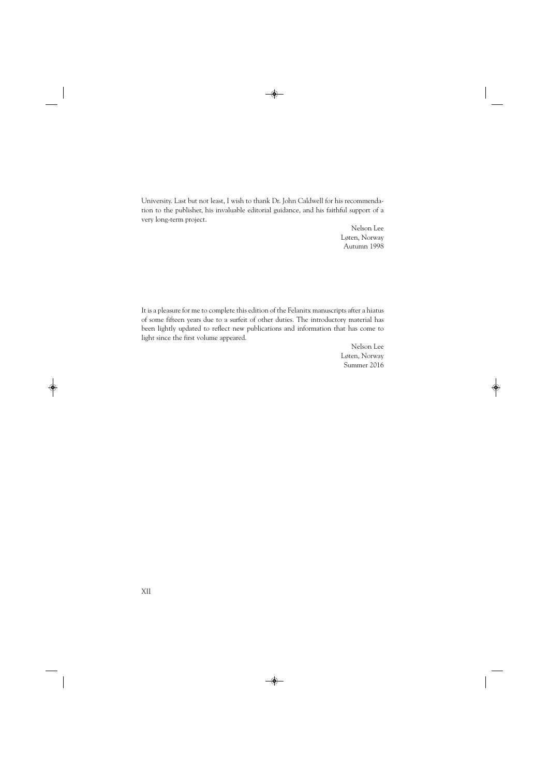University. Last but not least, I wish to thank Dr. John Caldwell for his recommendation to the publisher, his invaluable editorial guidance, and his faithful support of a very long-term project.

> Nelson Lee Løten, Norway Autumn 1998

It is a pleasure for me to complete this edition of the Felanitx manuscripts after a hiatus of some fifteen years due to a surfeit of other duties. The introductory material has been lightly updated to reflect new publications and information that has come to light since the first volume appeared.

> Nelson Lee Løten, Norway Summer 2016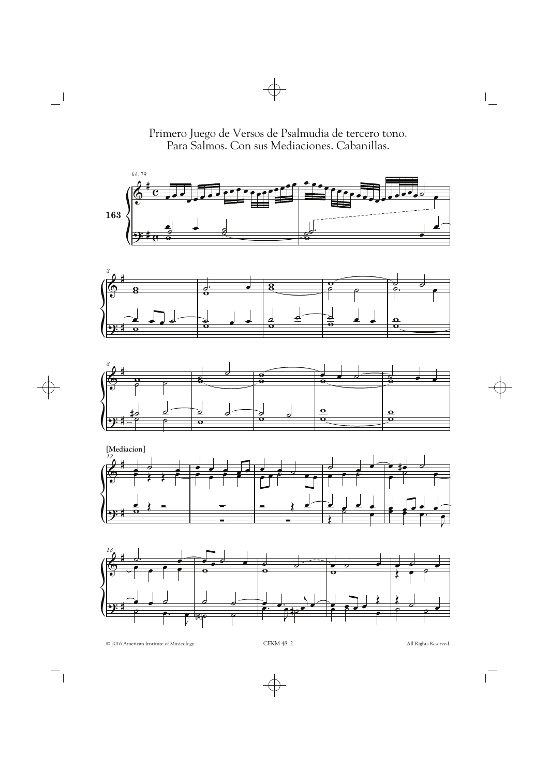Primero Juego de Versos de Psalmudia de tercero tono. Para Salmos. Con sus Mediaciones. Cabanillas.









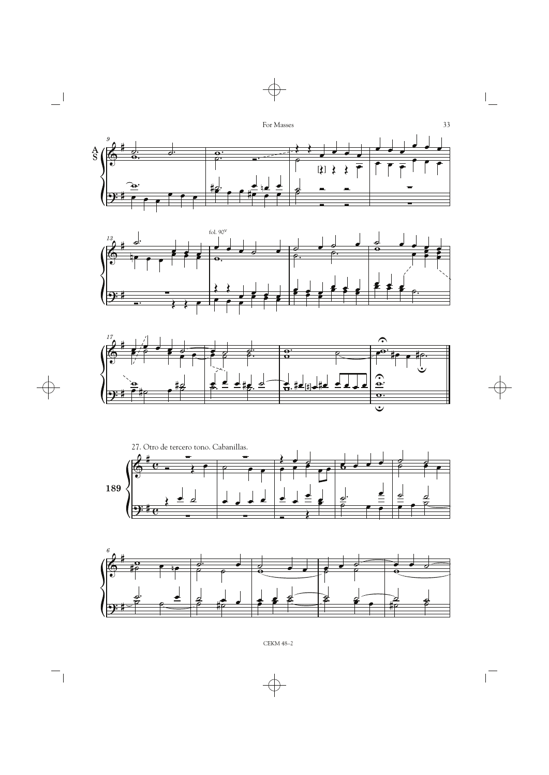